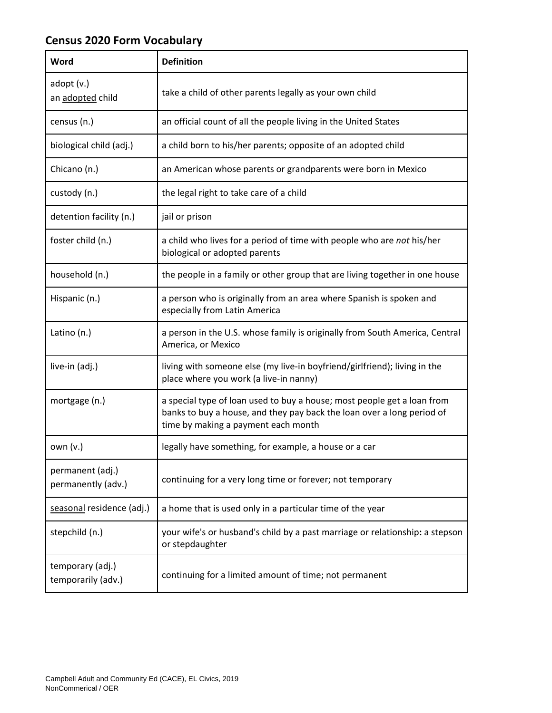## **Census 2020 Form Vocabulary**

| Word                                   | <b>Definition</b>                                                                                                                                                                        |
|----------------------------------------|------------------------------------------------------------------------------------------------------------------------------------------------------------------------------------------|
| adopt(v.)<br>an adopted child          | take a child of other parents legally as your own child                                                                                                                                  |
| census (n.)                            | an official count of all the people living in the United States                                                                                                                          |
| biological child (adj.)                | a child born to his/her parents; opposite of an adopted child                                                                                                                            |
| Chicano (n.)                           | an American whose parents or grandparents were born in Mexico                                                                                                                            |
| custody (n.)                           | the legal right to take care of a child                                                                                                                                                  |
| detention facility (n.)                | jail or prison                                                                                                                                                                           |
| foster child (n.)                      | a child who lives for a period of time with people who are not his/her<br>biological or adopted parents                                                                                  |
| household (n.)                         | the people in a family or other group that are living together in one house                                                                                                              |
| Hispanic (n.)                          | a person who is originally from an area where Spanish is spoken and<br>especially from Latin America                                                                                     |
| Latino (n.)                            | a person in the U.S. whose family is originally from South America, Central<br>America, or Mexico                                                                                        |
| live-in (adj.)                         | living with someone else (my live-in boyfriend/girlfriend); living in the<br>place where you work (a live-in nanny)                                                                      |
| mortgage (n.)                          | a special type of loan used to buy a house; most people get a loan from<br>banks to buy a house, and they pay back the loan over a long period of<br>time by making a payment each month |
| own $(v.)$                             | legally have something, for example, a house or a car                                                                                                                                    |
| permanent (adj.)<br>permanently (adv.) | continuing for a very long time or forever; not temporary                                                                                                                                |
| seasonal residence (adj.)              | a home that is used only in a particular time of the year                                                                                                                                |
| stepchild (n.)                         | your wife's or husband's child by a past marriage or relationship: a stepson<br>or stepdaughter                                                                                          |
| temporary (adj.)<br>temporarily (adv.) | continuing for a limited amount of time; not permanent                                                                                                                                   |